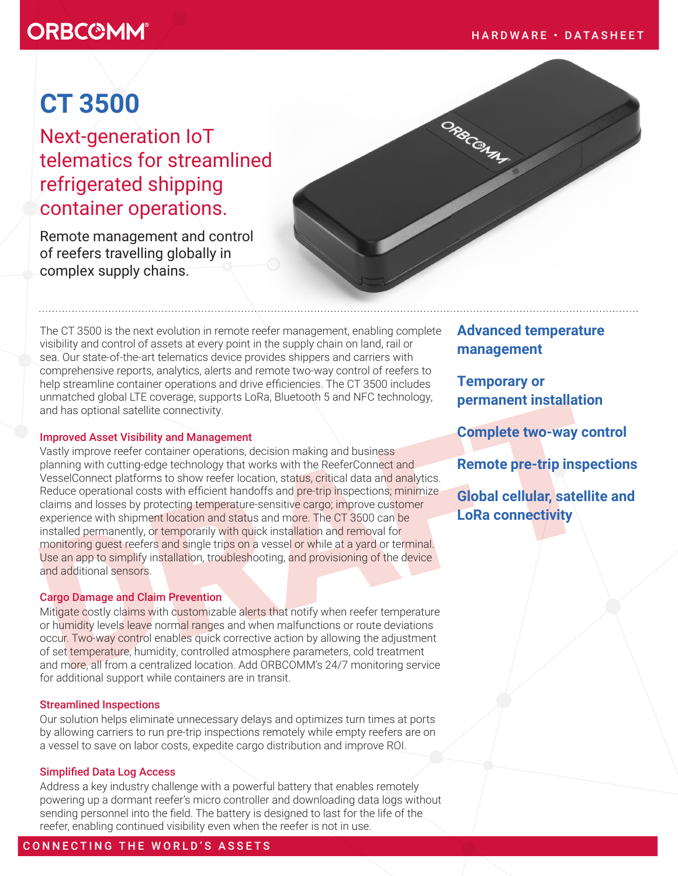# **ORBC@MM®**

# **CT 3500**

Next-generation IoT telematics for streamlined refrigerated shipping container operations.

Remote management and control of reefers travelling globally in complex supply chains.

The CT 3500 is the next evolution in remote reefer management, enabling complete visibility and control of assets at every point in the supply chain on land, rail or sea. Our state-of-the-art telematics device provides shippers and carriers with comprehensive reports, analytics, alerts and remote two-way control of reefers to help streamline container operations and drive efficiencies. The CT 3500 includes unmatched global LTE coverage, supports LoRa, Bluetooth 5 and NFC technology, and has optional satellite connectivity.

#### Improved Asset Visibility and Management

and has optional satellite connectivity.<br> **Improved Asset Visibility and Management**<br>
Vastly improve refer container operations, decision making and business<br>
Dennique with cutting-edge technology that works with the Reefe Vastly improve reefer container operations, decision making and business planning with cutting-edge technology that works with the ReeferConnect and VesselConnect platforms to show reefer location, status, critical data and analytics. Reduce operational costs with efficient handoffs and pre-trip inspections; minimize claims and losses by protecting temperature-sensitive cargo; improve customer experience with shipment location and status and more. The CT 3500 can be installed permanently, or temporarily with quick installation and removal for monitoring guest reefers and single trips on a vessel or while at a yard or terminal. Use an app to simplify installation, troubleshooting, and provisioning of the device and additional sensors.

### Cargo Damage and Claim Prevention

Mitigate costly claims with customizable alerts that notify when reefer temperature or humidity levels leave normal ranges and when malfunctions or route deviations occur. Two-way control enables quick corrective action by allowing the adjustment of set temperature, humidity, controlled atmosphere parameters, cold treatment and more, all from a centralized location. Add ORBCOMM's 24/7 monitoring service for additional support while containers are in transit.

#### Streamlined Inspections

Our solution helps eliminate unnecessary delays and optimizes turn times at ports by allowing carriers to run pre-trip inspections remotely while empty reefers are on a vessel to save on labor costs, expedite cargo distribution and improve ROI.

#### Simplified Data Log Access

Address a key industry challenge with a powerful battery that enables remotely powering up a dormant reefer's micro controller and downloading data logs without sending personnel into the field. The battery is designed to last for the life of the reefer, enabling continued visibility even when the reefer is not in use.

# **Advanced temperature management**

ORBCON AT

**Temporary or permanent installation**

**Complete two-way control**

**Remote pre-trip inspections** 

**Global cellular, satellite and LoRa connectivity**